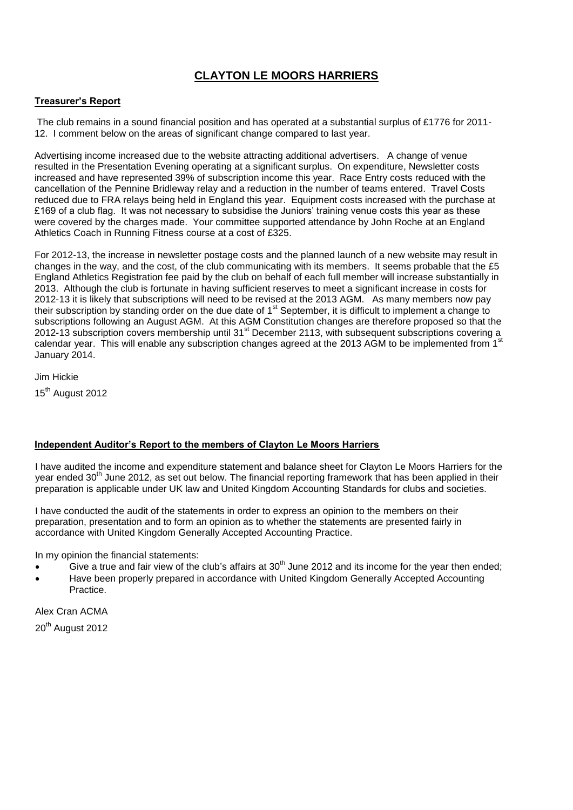# **CLAYTON LE MOORS HARRIERS**

### **Treasurer's Report**

The club remains in a sound financial position and has operated at a substantial surplus of £1776 for 2011- 12. I comment below on the areas of significant change compared to last year.

Advertising income increased due to the website attracting additional advertisers. A change of venue resulted in the Presentation Evening operating at a significant surplus. On expenditure, Newsletter costs increased and have represented 39% of subscription income this year. Race Entry costs reduced with the cancellation of the Pennine Bridleway relay and a reduction in the number of teams entered. Travel Costs reduced due to FRA relays being held in England this year. Equipment costs increased with the purchase at £169 of a club flag. It was not necessary to subsidise the Juniors' training venue costs this year as these were covered by the charges made. Your committee supported attendance by John Roche at an England Athletics Coach in Running Fitness course at a cost of £325.

For 2012-13, the increase in newsletter postage costs and the planned launch of a new website may result in changes in the way, and the cost, of the club communicating with its members. It seems probable that the £5 England Athletics Registration fee paid by the club on behalf of each full member will increase substantially in 2013. Although the club is fortunate in having sufficient reserves to meet a significant increase in costs for 2012-13 it is likely that subscriptions will need to be revised at the 2013 AGM. As many members now pay their subscription by standing order on the due date of 1<sup>st</sup> September, it is difficult to implement a change to subscriptions following an August AGM. At this AGM Constitution changes are therefore proposed so that the  $2012-13$  subscription covers membership until  $31<sup>st</sup>$  December 2113, with subsequent subscriptions covering a calendar year. This will enable any subscription changes agreed at the 2013 AGM to be implemented from 1<sup>st</sup> January 2014.

Jim Hickie

15<sup>th</sup> August 2012

### **Independent Auditor's Report to the members of Clayton Le Moors Harriers**

I have audited the income and expenditure statement and balance sheet for Clayton Le Moors Harriers for the year ended 30<sup>th</sup> June 2012, as set out below. The financial reporting framework that has been applied in their preparation is applicable under UK law and United Kingdom Accounting Standards for clubs and societies.

I have conducted the audit of the statements in order to express an opinion to the members on their preparation, presentation and to form an opinion as to whether the statements are presented fairly in accordance with United Kingdom Generally Accepted Accounting Practice.

In my opinion the financial statements:

- Give a true and fair view of the club's affairs at  $30<sup>th</sup>$  June 2012 and its income for the vear then ended:
- Have been properly prepared in accordance with United Kingdom Generally Accepted Accounting Practice.

Alex Cran ACMA 20<sup>th</sup> August 2012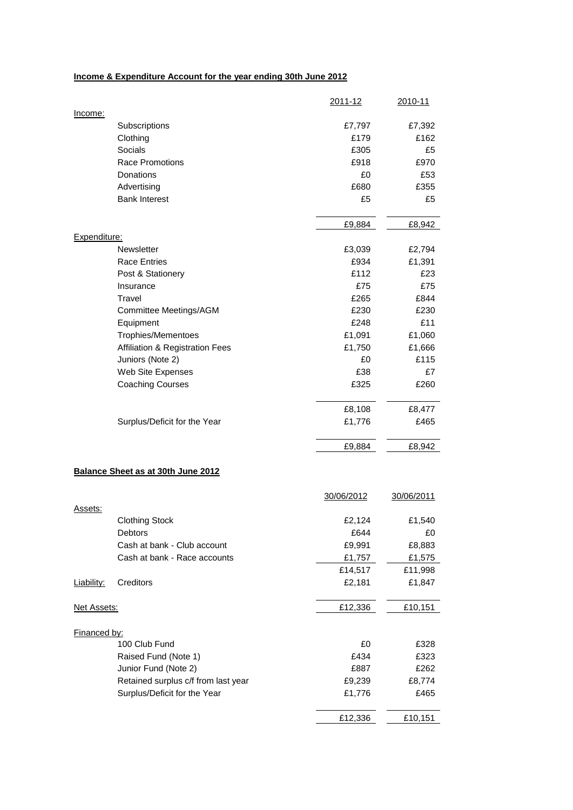## **Income & Expenditure Account for the year ending 30th June 2012**

|              |                                     | 2011-12    | 2010-11    |
|--------------|-------------------------------------|------------|------------|
| Income:      |                                     |            |            |
|              | Subscriptions                       | £7,797     | £7,392     |
|              | Clothing                            | £179       | £162       |
|              | Socials                             | £305       | £5         |
|              | Race Promotions                     | £918       | £970       |
|              | <b>Donations</b>                    | £0         | £53        |
|              | Advertising                         | £680       | £355       |
|              | <b>Bank Interest</b>                | £5         | £5         |
|              |                                     | £9,884     | £8,942     |
| Expenditure: |                                     |            |            |
|              | Newsletter                          | £3,039     | £2,794     |
|              | <b>Race Entries</b>                 | £934       | £1,391     |
|              | Post & Stationery                   | £112       | £23        |
|              | Insurance                           | £75        | £75        |
|              | Travel                              | £265       | £844       |
|              | Committee Meetings/AGM              | £230       | £230       |
|              | Equipment                           | £248       | £11        |
|              | <b>Trophies/Mementoes</b>           | £1,091     | £1,060     |
|              | Affiliation & Registration Fees     | £1,750     | £1,666     |
|              | Juniors (Note 2)                    | £0         | £115       |
|              | Web Site Expenses                   | £38        | £7         |
|              | <b>Coaching Courses</b>             | £325       | £260       |
|              |                                     | £8,108     | £8,477     |
|              | Surplus/Deficit for the Year        | £1,776     | £465       |
|              |                                     | £9,884     | £8,942     |
|              |                                     |            |            |
|              | Balance Sheet as at 30th June 2012  |            |            |
|              |                                     | 30/06/2012 | 30/06/2011 |
| Assets:      |                                     |            |            |
|              | <b>Clothing Stock</b>               | £2,124     | £1,540     |
|              | Debtors                             | £644       | £0         |
|              | Cash at bank - Club account         | £9,991     | £8,883     |
|              | Cash at bank - Race accounts        | £1,757     | £1,575     |
|              |                                     | £14,517    | £11,998    |
| Liability:   | Creditors                           | £2,181     | £1,847     |
| Net Assets:  |                                     | £12,336    | £10,151    |
|              |                                     |            |            |
| Financed by: |                                     |            |            |
|              | 100 Club Fund                       | £0         | £328       |
|              | Raised Fund (Note 1)                | £434       | £323       |
|              | Junior Fund (Note 2)                | £887       | £262       |
|              | Retained surplus c/f from last year | £9,239     | £8,774     |
|              | Surplus/Deficit for the Year        | £1,776     | £465       |
|              |                                     | £12,336    | £10,151    |
|              |                                     |            |            |